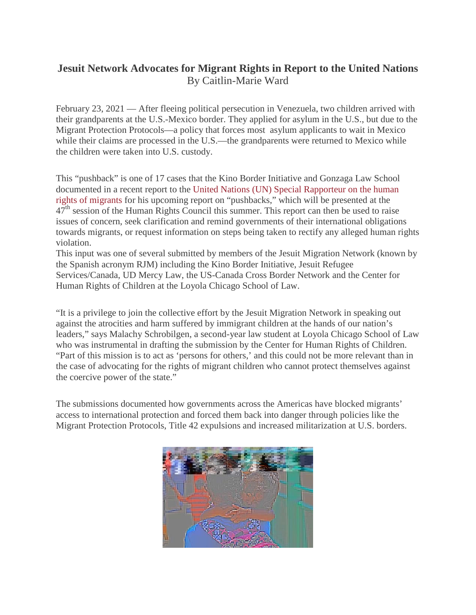## **Jesuit Network Advocates for Migrant Rights in Report to the United Nations** By Caitlin-Marie Ward

February 23, 2021 — After fleeing political persecution in Venezuela, two children arrived with their grandparents at the U.S.-Mexico border. They applied for asylum in the U.S., but due to the Migrant Protection Protocols—a policy that forces most asylum applicants to wait in Mexico while their claims are processed in the U.S.—the grandparents were returned to Mexico while the children were taken into U.S. custody.

This "pushback" is one of 17 cases that the Kino Border Initiative and Gonzaga Law School documented in a recent report to the United Nations (UN) Special [Rapporteur](https://ohchr.org/EN/Issues/Migration/SRMigrants/Pages/SRMigrantsIndex.aspx) on the human rights of [migrants](https://ohchr.org/EN/Issues/Migration/SRMigrants/Pages/SRMigrantsIndex.aspx) for his upcoming report on "pushbacks," which will be presented at the  $47<sup>th</sup>$  session of the Human Rights Council this summer. This report can then be used to raise issues of concern, seek clarification and remind governments of their international obligations towards migrants, or request information on steps being taken to rectify any alleged human rights violation.

This input was one of several submitted by members of the Jesuit Migration Network (known by the Spanish acronym RJM) including the Kino Border Initiative, Jesuit Refugee Services/Canada, UD Mercy Law, the US-Canada Cross Border Network and the Center for Human Rights of Children at the Loyola Chicago School of Law.

"It is a privilege to join the collective effort by the Jesuit Migration Network in speaking out against the atrocities and harm suffered by immigrant children at the hands of our nation's leaders," says Malachy Schrobilgen, a second-year law student at Loyola Chicago School of Law who was instrumental in drafting the submission by the Center for Human Rights of Children. "Part of this mission is to act as 'persons for others,' and this could not be more relevant than in the case of advocating for the rights of migrant children who cannot protect themselves against the coercive power of the state."

The submissions documented how governments across the Americas have blocked migrants' access to international protection and forced them back into danger through policies like the Migrant Protection Protocols, Title 42 expulsions and increased militarization at U.S. borders.